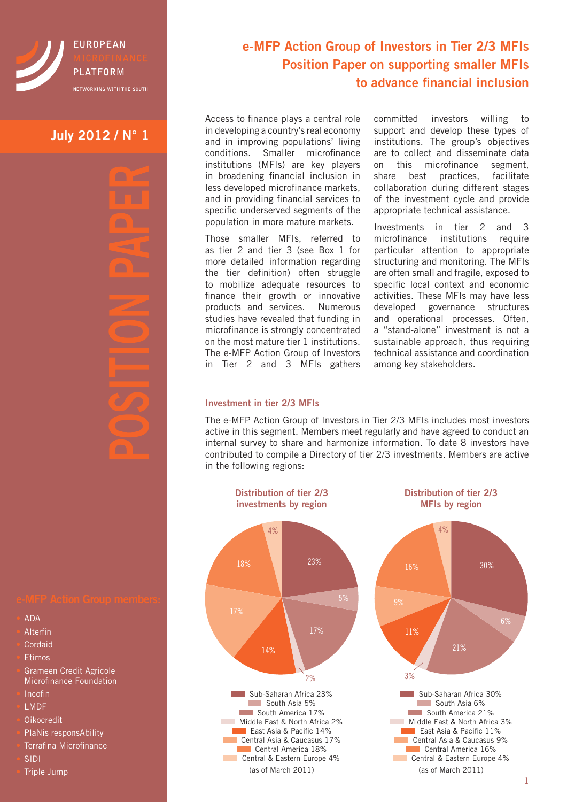

# **July 2012 / N° 1**

- ADA
- **Alterfin**
- **Cordaid**
- **Etimos**
- Grameen Credit Agricole Microfinance Foundation
- 
- Incofin
- LMDF
- Oikocredit
- PlaNis responsAbility
- Terrafina Microfinance
- SIDI
- Triple Jump

# **e-MFP Action Group of Investors in Tier 2/3 MFIs Position Paper on supporting smaller MFIs to advance financial inclusion**

Access to finance plays a central role in developing a country's real economy and in improving populations' living conditions. Smaller microfinance institutions (MFIs) are key players in broadening financial inclusion in less developed microfinance markets, and in providing financial services to specific underserved segments of the population in more mature markets.

Those smaller MFIs, referred to as tier 2 and tier 3 (see Box 1 for more detailed information regarding the tier definition) often struggle to mobilize adequate resources to finance their growth or innovative products and services. Numerous studies have revealed that funding in microfinance is strongly concentrated on the most mature tier 1 institutions. The e-MFP Action Group of Investors in Tier 2 and 3 MFIs gathers

committed investors willing to support and develop these types of institutions. The group's objectives are to collect and disseminate data on this microfinance segment, share best practices, facilitate collaboration during different stages of the investment cycle and provide appropriate technical assistance.

Investments in tier 2 and 3 microfinance institutions require particular attention to appropriate structuring and monitoring. The MFIs are often small and fragile, exposed to specific local context and economic activities. These MFIs may have less developed governance structures and operational processes. Often, a "stand-alone" investment is not a sustainable approach, thus requiring technical assistance and coordination among key stakeholders.

### **Investment in tier 2/3 MFIs**

The e-MFP Action Group of Investors in Tier 2/3 MFIs includes most investors active in this segment. Members meet regularly and have agreed to conduct an internal survey to share and harmonize information. To date 8 investors have contributed to compile a Directory of tier 2/3 investments. Members are active in the following regions: